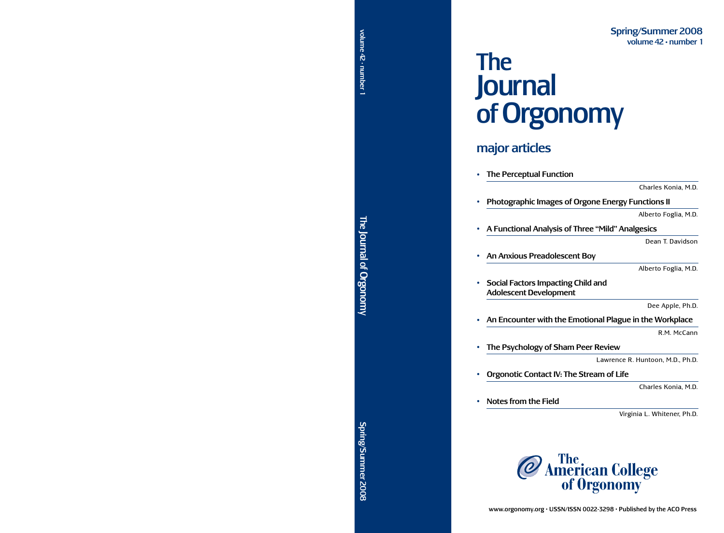# $\mathbb{Z}^{\frac{1}{6}}$ Journal of Orgonomy **Journ JUULI IQI** Jo of Orgonomy volume 42

# major articles major artic

| The Perceptual Function                                             |                                  |
|---------------------------------------------------------------------|----------------------------------|
|                                                                     | Charles Konia, M.D.              |
| <b>Photographic Images of Orgone Energy Functions II</b>            |                                  |
|                                                                     | Alberto Foglia, M.D.             |
| A Functional Analysis of Three "Mild" Analgesics                    |                                  |
|                                                                     | Dean T. Davidson                 |
| An Anxious Preadolescent Boy                                        |                                  |
|                                                                     | Alberto Foglia, M.D.             |
| Social Factors Impacting Child and<br><b>Adolescent Development</b> |                                  |
|                                                                     | Dee Apple, Ph.D.                 |
| An Encounter with the Emotional Plague in the Workplace             |                                  |
|                                                                     | R.M. McCann                      |
| The Psychology of Sham Peer Review                                  |                                  |
|                                                                     | Lawrence R. Huntoon, M.D., Ph.D. |
| Orgonotic Contact IV: The Stream of Life                            |                                  |
|                                                                     | Charles Konia, M.D.              |

• Notes from the Field

Virginia L. Whitener, Ph.D.



Orgonomy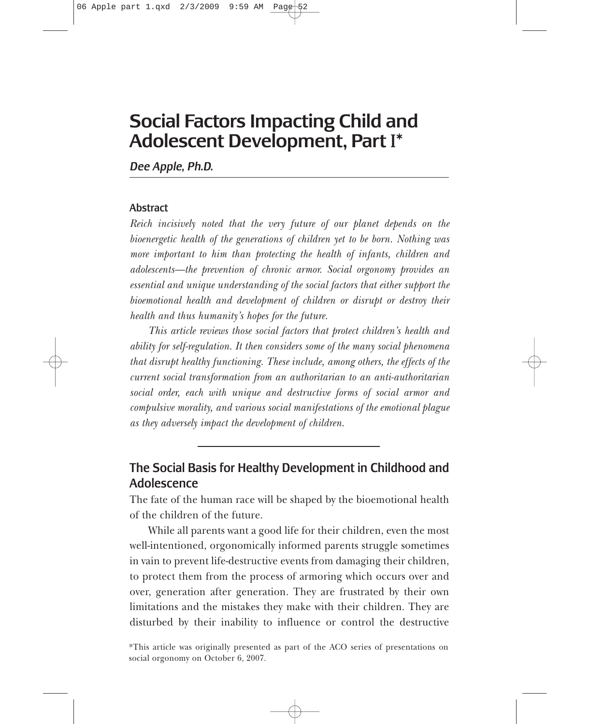# Social Factors Impacting Child and Adolescent Development, Part **I**\*

*Dee Apple, Ph.D.*

### Abstract

*Reich incisively noted that the very future of our planet depends on the bioenergetic health of the generations of children yet to be born. Nothing was more important to him than protecting the health of infants, children and adolescents—the prevention of chronic armor. Social orgonomy provides an essential and unique understanding of the social factors that either support the bioemotional health and development of children or disrupt or destroy their health and thus humanity's hopes for the future.*

*This article reviews those social factors that protect children's health and ability for self-regulation. It then considers some of the many social phenomena that disrupt healthy functioning. These include, among others, the effects of the current social transformation from an authoritarian to an anti-authoritarian social order, each with unique and destructive forms of social armor and compulsive morality, and various social manifestations of the emotional plague as they adversely impact the development of children.*

# The Social Basis for Healthy Development in Childhood and Adolescence

The fate of the human race will be shaped by the bioemotional health of the children of the future.

While all parents want a good life for their children, even the most well-intentioned, orgonomically informed parents struggle sometimes in vain to prevent life-destructive events from damaging their children, to protect them from the process of armoring which occurs over and over, generation after generation. They are frustrated by their own limitations and the mistakes they make with their children. They are disturbed by their inability to influence or control the destructive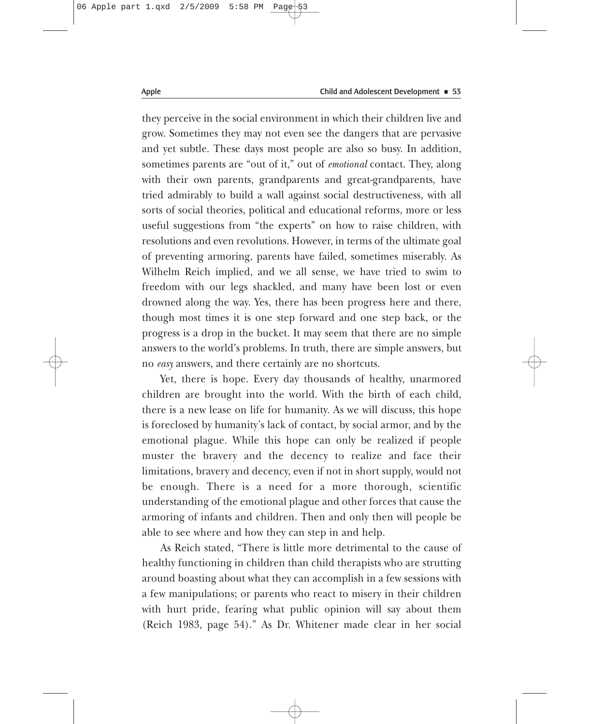they perceive in the social environment in which their children live and grow. Sometimes they may not even see the dangers that are pervasive and yet subtle. These days most people are also so busy. In addition, sometimes parents are "out of it," out of *emotional* contact. They, along with their own parents, grandparents and great-grandparents, have tried admirably to build a wall against social destructiveness, with all sorts of social theories, political and educational reforms, more or less useful suggestions from "the experts" on how to raise children, with resolutions and even revolutions. However, in terms of the ultimate goal of preventing armoring, parents have failed, sometimes miserably. As Wilhelm Reich implied, and we all sense, we have tried to swim to freedom with our legs shackled, and many have been lost or even drowned along the way. Yes, there has been progress here and there, though most times it is one step forward and one step back, or the progress is a drop in the bucket. It may seem that there are no simple answers to the world's problems. In truth, there are simple answers, but no *easy* answers, and there certainly are no shortcuts.

Yet, there is hope. Every day thousands of healthy, unarmored children are brought into the world. With the birth of each child, there is a new lease on life for humanity. As we will discuss, this hope is foreclosed by humanity's lack of contact, by social armor, and by the emotional plague. While this hope can only be realized if people muster the bravery and the decency to realize and face their limitations, bravery and decency, even if not in short supply, would not be enough. There is a need for a more thorough, scientific understanding of the emotional plague and other forces that cause the armoring of infants and children. Then and only then will people be able to see where and how they can step in and help.

As Reich stated, "There is little more detrimental to the cause of healthy functioning in children than child therapists who are strutting around boasting about what they can accomplish in a few sessions with a few manipulations; or parents who react to misery in their children with hurt pride, fearing what public opinion will say about them (Reich 1983, page 54)." As Dr. Whitener made clear in her social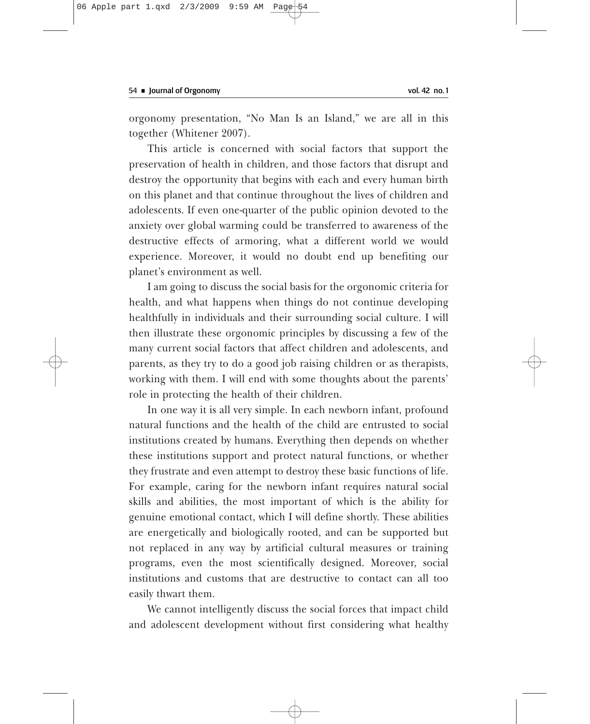orgonomy presentation, "No Man Is an Island," we are all in this together (Whitener 2007).

This article is concerned with social factors that support the preservation of health in children, and those factors that disrupt and destroy the opportunity that begins with each and every human birth on this planet and that continue throughout the lives of children and adolescents. If even one-quarter of the public opinion devoted to the anxiety over global warming could be transferred to awareness of the destructive effects of armoring, what a different world we would experience. Moreover, it would no doubt end up benefiting our planet's environment as well.

I am going to discuss the social basis for the orgonomic criteria for health, and what happens when things do not continue developing healthfully in individuals and their surrounding social culture. I will then illustrate these orgonomic principles by discussing a few of the many current social factors that affect children and adolescents, and parents, as they try to do a good job raising children or as therapists, working with them. I will end with some thoughts about the parents' role in protecting the health of their children.

In one way it is all very simple. In each newborn infant, profound natural functions and the health of the child are entrusted to social institutions created by humans. Everything then depends on whether these institutions support and protect natural functions, or whether they frustrate and even attempt to destroy these basic functions of life. For example, caring for the newborn infant requires natural social skills and abilities, the most important of which is the ability for genuine emotional contact, which I will define shortly. These abilities are energetically and biologically rooted, and can be supported but not replaced in any way by artificial cultural measures or training programs, even the most scientifically designed. Moreover, social institutions and customs that are destructive to contact can all too easily thwart them.

We cannot intelligently discuss the social forces that impact child and adolescent development without first considering what healthy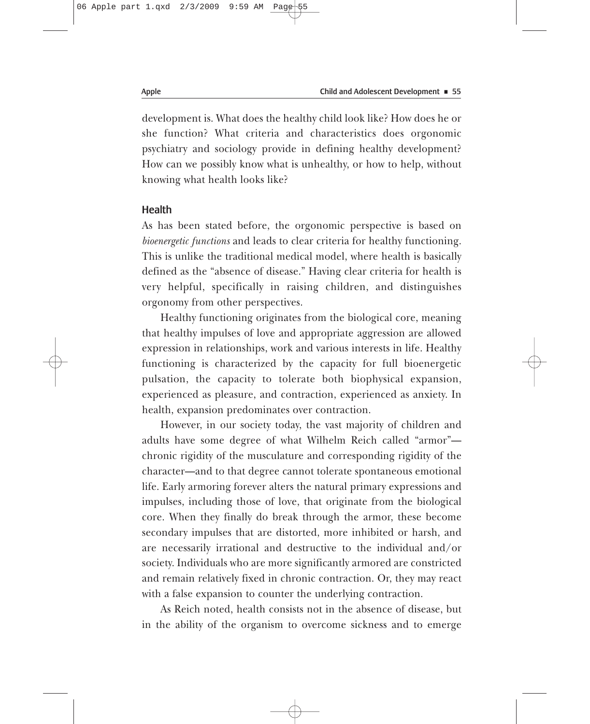development is. What does the healthy child look like? How does he or she function? What criteria and characteristics does orgonomic psychiatry and sociology provide in defining healthy development? How can we possibly know what is unhealthy, or how to help, without knowing what health looks like?

# **Health**

As has been stated before, the orgonomic perspective is based on *bioenergetic functions* and leads to clear criteria for healthy functioning. This is unlike the traditional medical model, where health is basically defined as the "absence of disease." Having clear criteria for health is very helpful, specifically in raising children, and distinguishes orgonomy from other perspectives.

Healthy functioning originates from the biological core, meaning that healthy impulses of love and appropriate aggression are allowed expression in relationships, work and various interests in life. Healthy functioning is characterized by the capacity for full bioenergetic pulsation, the capacity to tolerate both biophysical expansion, experienced as pleasure, and contraction, experienced as anxiety. In health, expansion predominates over contraction.

However, in our society today, the vast majority of children and adults have some degree of what Wilhelm Reich called "armor" chronic rigidity of the musculature and corresponding rigidity of the character—and to that degree cannot tolerate spontaneous emotional life. Early armoring forever alters the natural primary expressions and impulses, including those of love, that originate from the biological core. When they finally do break through the armor, these become secondary impulses that are distorted, more inhibited or harsh, and are necessarily irrational and destructive to the individual and/or society. Individuals who are more significantly armored are constricted and remain relatively fixed in chronic contraction. Or, they may react with a false expansion to counter the underlying contraction.

As Reich noted, health consists not in the absence of disease, but in the ability of the organism to overcome sickness and to emerge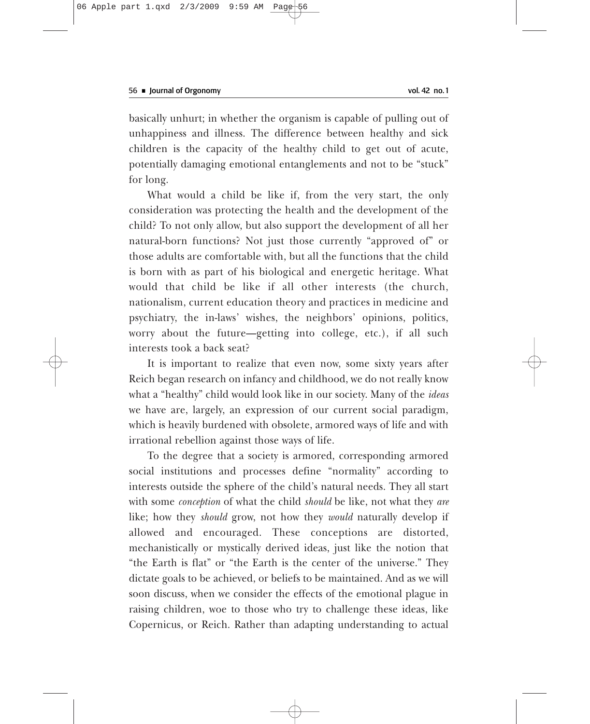basically unhurt; in whether the organism is capable of pulling out of unhappiness and illness. The difference between healthy and sick children is the capacity of the healthy child to get out of acute, potentially damaging emotional entanglements and not to be "stuck" for long.

What would a child be like if, from the very start, the only consideration was protecting the health and the development of the child? To not only allow, but also support the development of all her natural-born functions? Not just those currently "approved of" or those adults are comfortable with, but all the functions that the child is born with as part of his biological and energetic heritage. What would that child be like if all other interests (the church, nationalism, current education theory and practices in medicine and psychiatry, the in-laws' wishes, the neighbors' opinions, politics, worry about the future—getting into college, etc.), if all such interests took a back seat?

It is important to realize that even now, some sixty years after Reich began research on infancy and childhood, we do not really know what a "healthy" child would look like in our society. Many of the *ideas* we have are, largely, an expression of our current social paradigm, which is heavily burdened with obsolete, armored ways of life and with irrational rebellion against those ways of life.

To the degree that a society is armored, corresponding armored social institutions and processes define "normality" according to interests outside the sphere of the child's natural needs. They all start with some *conception* of what the child *should* be like, not what they *are* like; how they *should* grow, not how they *would* naturally develop if allowed and encouraged. These conceptions are distorted, mechanistically or mystically derived ideas, just like the notion that "the Earth is flat" or "the Earth is the center of the universe." They dictate goals to be achieved, or beliefs to be maintained. And as we will soon discuss, when we consider the effects of the emotional plague in raising children, woe to those who try to challenge these ideas, like Copernicus, or Reich. Rather than adapting understanding to actual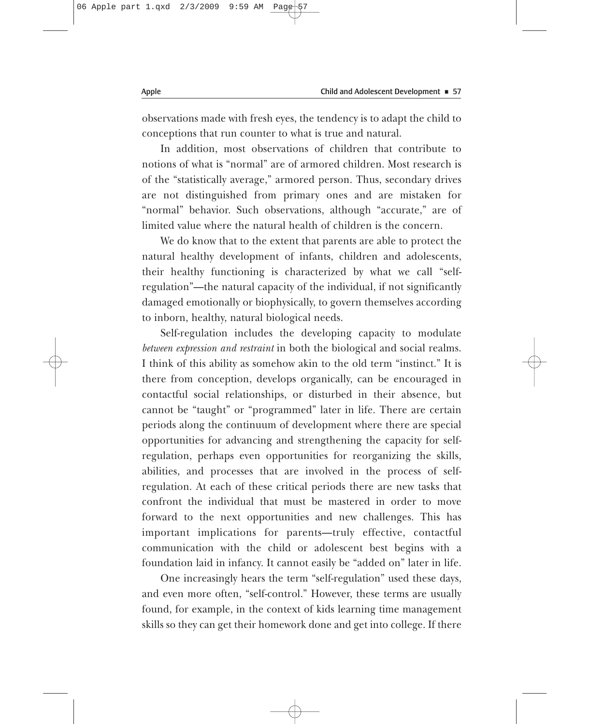observations made with fresh eyes, the tendency is to adapt the child to conceptions that run counter to what is true and natural.

In addition, most observations of children that contribute to notions of what is "normal" are of armored children. Most research is of the "statistically average," armored person. Thus, secondary drives are not distinguished from primary ones and are mistaken for "normal" behavior. Such observations, although "accurate," are of limited value where the natural health of children is the concern.

We do know that to the extent that parents are able to protect the natural healthy development of infants, children and adolescents, their healthy functioning is characterized by what we call "selfregulation"—the natural capacity of the individual, if not significantly damaged emotionally or biophysically, to govern themselves according to inborn, healthy, natural biological needs.

Self-regulation includes the developing capacity to modulate *between expression and restraint* in both the biological and social realms. I think of this ability as somehow akin to the old term "instinct." It is there from conception, develops organically, can be encouraged in contactful social relationships, or disturbed in their absence, but cannot be "taught" or "programmed" later in life. There are certain periods along the continuum of development where there are special opportunities for advancing and strengthening the capacity for selfregulation, perhaps even opportunities for reorganizing the skills, abilities, and processes that are involved in the process of selfregulation. At each of these critical periods there are new tasks that confront the individual that must be mastered in order to move forward to the next opportunities and new challenges. This has important implications for parents—truly effective, contactful communication with the child or adolescent best begins with a foundation laid in infancy. It cannot easily be "added on" later in life.

One increasingly hears the term "self-regulation" used these days, and even more often, "self-control." However, these terms are usually found, for example, in the context of kids learning time management skills so they can get their homework done and get into college. If there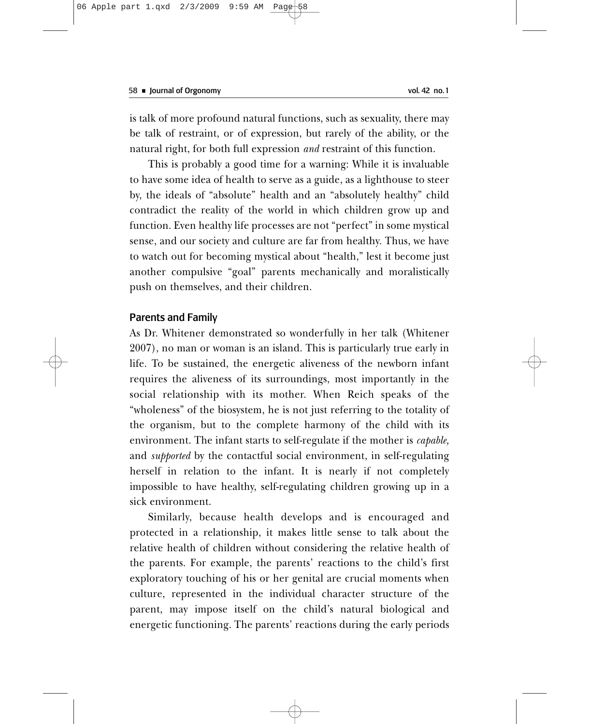is talk of more profound natural functions, such as sexuality, there may be talk of restraint, or of expression, but rarely of the ability, or the natural right, for both full expression *and* restraint of this function.

This is probably a good time for a warning: While it is invaluable to have some idea of health to serve as a guide, as a lighthouse to steer by, the ideals of "absolute" health and an "absolutely healthy" child contradict the reality of the world in which children grow up and function. Even healthy life processes are not "perfect" in some mystical sense, and our society and culture are far from healthy. Thus, we have to watch out for becoming mystical about "health," lest it become just another compulsive "goal" parents mechanically and moralistically push on themselves, and their children.

#### Parents and Family

As Dr. Whitener demonstrated so wonderfully in her talk (Whitener 2007), no man or woman is an island. This is particularly true early in life. To be sustained, the energetic aliveness of the newborn infant requires the aliveness of its surroundings, most importantly in the social relationship with its mother. When Reich speaks of the "wholeness" of the biosystem, he is not just referring to the totality of the organism, but to the complete harmony of the child with its environment. The infant starts to self-regulate if the mother is *capable,* and *supported* by the contactful social environment, in self-regulating herself in relation to the infant. It is nearly if not completely impossible to have healthy, self-regulating children growing up in a sick environment.

Similarly, because health develops and is encouraged and protected in a relationship, it makes little sense to talk about the relative health of children without considering the relative health of the parents. For example, the parents' reactions to the child's first exploratory touching of his or her genital are crucial moments when culture, represented in the individual character structure of the parent, may impose itself on the child's natural biological and energetic functioning. The parents' reactions during the early periods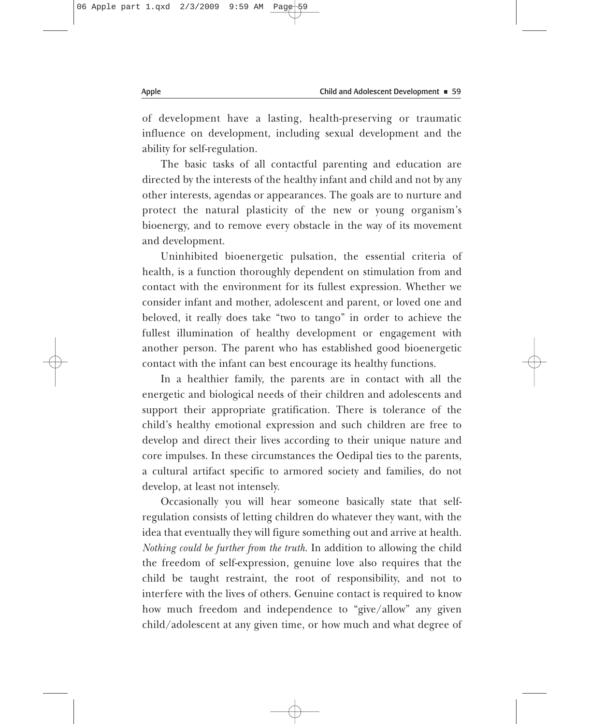of development have a lasting, health-preserving or traumatic influence on development, including sexual development and the ability for self-regulation.

The basic tasks of all contactful parenting and education are directed by the interests of the healthy infant and child and not by any other interests, agendas or appearances. The goals are to nurture and protect the natural plasticity of the new or young organism's bioenergy, and to remove every obstacle in the way of its movement and development.

Uninhibited bioenergetic pulsation, the essential criteria of health, is a function thoroughly dependent on stimulation from and contact with the environment for its fullest expression. Whether we consider infant and mother, adolescent and parent, or loved one and beloved, it really does take "two to tango" in order to achieve the fullest illumination of healthy development or engagement with another person. The parent who has established good bioenergetic contact with the infant can best encourage its healthy functions.

In a healthier family, the parents are in contact with all the energetic and biological needs of their children and adolescents and support their appropriate gratification. There is tolerance of the child's healthy emotional expression and such children are free to develop and direct their lives according to their unique nature and core impulses. In these circumstances the Oedipal ties to the parents, a cultural artifact specific to armored society and families, do not develop, at least not intensely.

Occasionally you will hear someone basically state that selfregulation consists of letting children do whatever they want, with the idea that eventually they will figure something out and arrive at health. *Nothing could be further from the truth*. In addition to allowing the child the freedom of self-expression, genuine love also requires that the child be taught restraint, the root of responsibility, and not to interfere with the lives of others. Genuine contact is required to know how much freedom and independence to "give/allow" any given child/adolescent at any given time, or how much and what degree of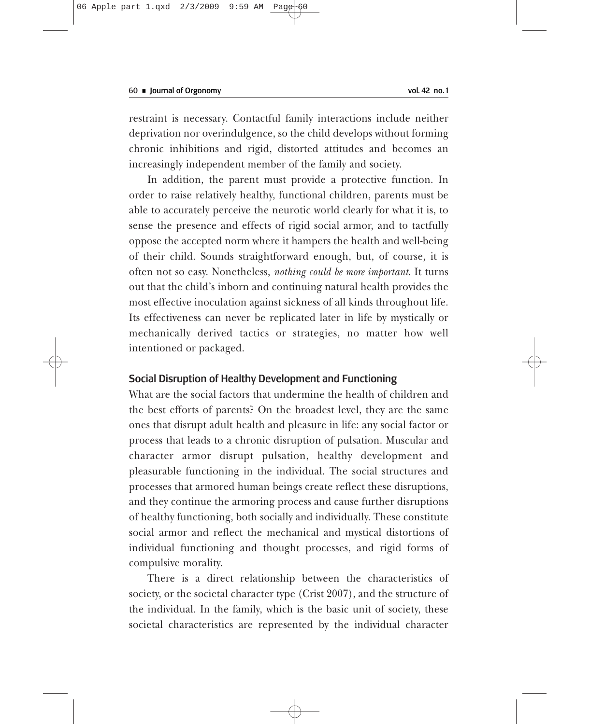restraint is necessary. Contactful family interactions include neither deprivation nor overindulgence, so the child develops without forming chronic inhibitions and rigid, distorted attitudes and becomes an increasingly independent member of the family and society.

In addition, the parent must provide a protective function. In order to raise relatively healthy, functional children, parents must be able to accurately perceive the neurotic world clearly for what it is, to sense the presence and effects of rigid social armor, and to tactfully oppose the accepted norm where it hampers the health and well-being of their child. Sounds straightforward enough, but, of course, it is often not so easy. Nonetheless, *nothing could be more important*. It turns out that the child's inborn and continuing natural health provides the most effective inoculation against sickness of all kinds throughout life. Its effectiveness can never be replicated later in life by mystically or mechanically derived tactics or strategies, no matter how well intentioned or packaged.

# Social Disruption of Healthy Development and Functioning

What are the social factors that undermine the health of children and the best efforts of parents? On the broadest level, they are the same ones that disrupt adult health and pleasure in life: any social factor or process that leads to a chronic disruption of pulsation. Muscular and character armor disrupt pulsation, healthy development and pleasurable functioning in the individual. The social structures and processes that armored human beings create reflect these disruptions, and they continue the armoring process and cause further disruptions of healthy functioning, both socially and individually. These constitute social armor and reflect the mechanical and mystical distortions of individual functioning and thought processes, and rigid forms of compulsive morality.

There is a direct relationship between the characteristics of society, or the societal character type (Crist 2007), and the structure of the individual. In the family, which is the basic unit of society, these societal characteristics are represented by the individual character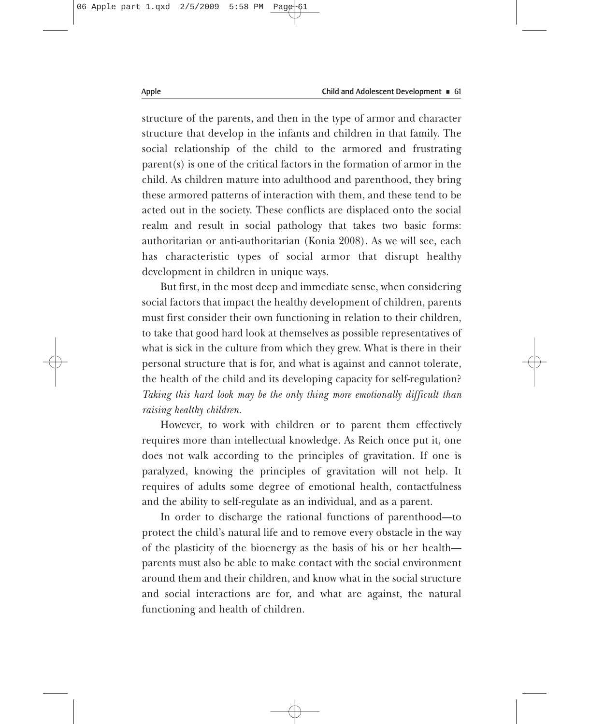structure of the parents, and then in the type of armor and character structure that develop in the infants and children in that family. The social relationship of the child to the armored and frustrating parent(s) is one of the critical factors in the formation of armor in the child. As children mature into adulthood and parenthood, they bring these armored patterns of interaction with them, and these tend to be acted out in the society. These conflicts are displaced onto the social realm and result in social pathology that takes two basic forms: authoritarian or anti-authoritarian (Konia 2008). As we will see, each has characteristic types of social armor that disrupt healthy development in children in unique ways.

But first, in the most deep and immediate sense, when considering social factors that impact the healthy development of children, parents must first consider their own functioning in relation to their children, to take that good hard look at themselves as possible representatives of what is sick in the culture from which they grew. What is there in their personal structure that is for, and what is against and cannot tolerate, the health of the child and its developing capacity for self-regulation? *Taking this hard look may be the only thing more emotionally difficult than raising healthy children*.

However, to work with children or to parent them effectively requires more than intellectual knowledge. As Reich once put it, one does not walk according to the principles of gravitation. If one is paralyzed, knowing the principles of gravitation will not help. It requires of adults some degree of emotional health, contactfulness and the ability to self-regulate as an individual, and as a parent.

In order to discharge the rational functions of parenthood—to protect the child's natural life and to remove every obstacle in the way of the plasticity of the bioenergy as the basis of his or her health parents must also be able to make contact with the social environment around them and their children, and know what in the social structure and social interactions are for, and what are against, the natural functioning and health of children.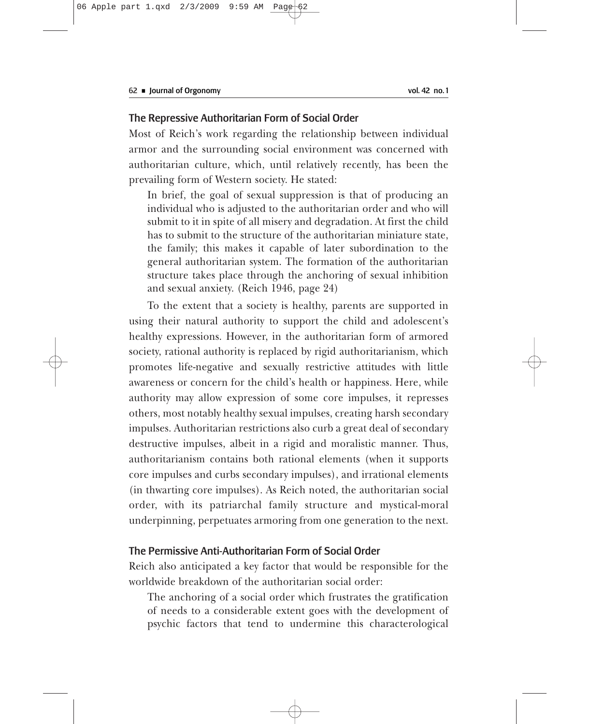# The Repressive Authoritarian Form of Social Order

Most of Reich's work regarding the relationship between individual armor and the surrounding social environment was concerned with authoritarian culture, which, until relatively recently, has been the prevailing form of Western society. He stated:

In brief, the goal of sexual suppression is that of producing an individual who is adjusted to the authoritarian order and who will submit to it in spite of all misery and degradation. At first the child has to submit to the structure of the authoritarian miniature state, the family; this makes it capable of later subordination to the general authoritarian system. The formation of the authoritarian structure takes place through the anchoring of sexual inhibition and sexual anxiety. (Reich 1946, page 24)

To the extent that a society is healthy, parents are supported in using their natural authority to support the child and adolescent's healthy expressions. However, in the authoritarian form of armored society, rational authority is replaced by rigid authoritarianism, which promotes life-negative and sexually restrictive attitudes with little awareness or concern for the child's health or happiness. Here, while authority may allow expression of some core impulses, it represses others, most notably healthy sexual impulses, creating harsh secondary impulses. Authoritarian restrictions also curb a great deal of secondary destructive impulses, albeit in a rigid and moralistic manner. Thus, authoritarianism contains both rational elements (when it supports core impulses and curbs secondary impulses), and irrational elements (in thwarting core impulses). As Reich noted, the authoritarian social order, with its patriarchal family structure and mystical-moral underpinning, perpetuates armoring from one generation to the next.

# The Permissive Anti-Authoritarian Form of Social Order

Reich also anticipated a key factor that would be responsible for the worldwide breakdown of the authoritarian social order:

The anchoring of a social order which frustrates the gratification of needs to a considerable extent goes with the development of psychic factors that tend to undermine this characterological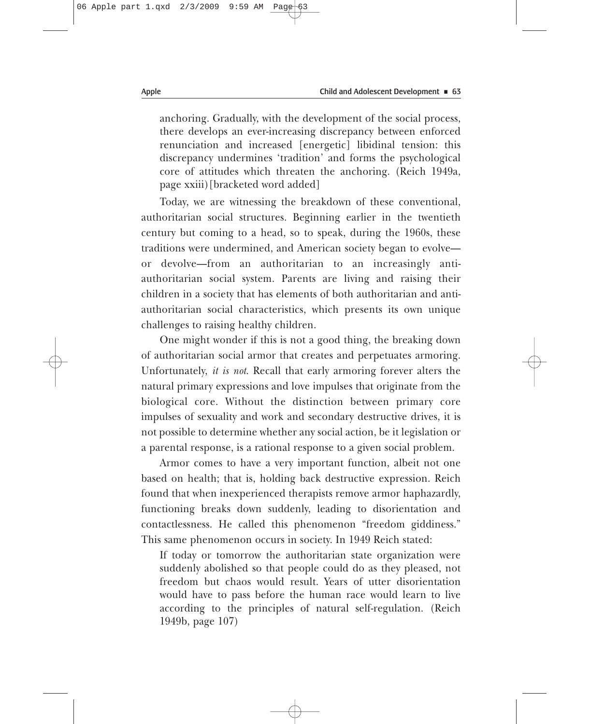anchoring. Gradually, with the development of the social process, there develops an ever-increasing discrepancy between enforced renunciation and increased [energetic] libidinal tension: this discrepancy undermines 'tradition' and forms the psychological core of attitudes which threaten the anchoring. (Reich 1949a, page xxiii)[bracketed word added]

Today, we are witnessing the breakdown of these conventional, authoritarian social structures. Beginning earlier in the twentieth century but coming to a head, so to speak, during the 1960s, these traditions were undermined, and American society began to evolve or devolve—from an authoritarian to an increasingly antiauthoritarian social system. Parents are living and raising their children in a society that has elements of both authoritarian and antiauthoritarian social characteristics, which presents its own unique challenges to raising healthy children.

One might wonder if this is not a good thing, the breaking down of authoritarian social armor that creates and perpetuates armoring. Unfortunately, *it is not*. Recall that early armoring forever alters the natural primary expressions and love impulses that originate from the biological core. Without the distinction between primary core impulses of sexuality and work and secondary destructive drives, it is not possible to determine whether any social action, be it legislation or a parental response, is a rational response to a given social problem.

Armor comes to have a very important function, albeit not one based on health; that is, holding back destructive expression. Reich found that when inexperienced therapists remove armor haphazardly, functioning breaks down suddenly, leading to disorientation and contactlessness. He called this phenomenon "freedom giddiness." This same phenomenon occurs in society. In 1949 Reich stated:

If today or tomorrow the authoritarian state organization were suddenly abolished so that people could do as they pleased, not freedom but chaos would result. Years of utter disorientation would have to pass before the human race would learn to live according to the principles of natural self-regulation. (Reich 1949b, page 107)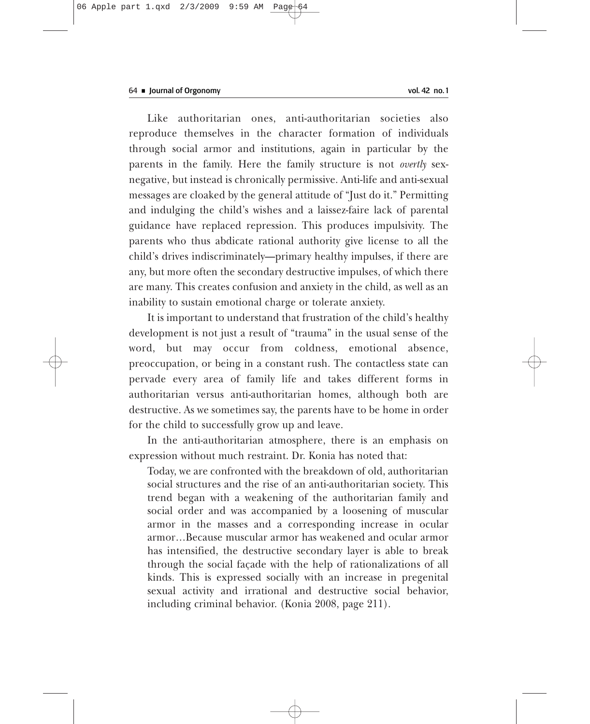Like authoritarian ones, anti-authoritarian societies also reproduce themselves in the character formation of individuals through social armor and institutions, again in particular by the parents in the family. Here the family structure is not *overtly* sexnegative, but instead is chronically permissive. Anti-life and anti-sexual messages are cloaked by the general attitude of "Just do it." Permitting and indulging the child's wishes and a laissez-faire lack of parental guidance have replaced repression. This produces impulsivity. The parents who thus abdicate rational authority give license to all the child's drives indiscriminately—primary healthy impulses, if there are any, but more often the secondary destructive impulses, of which there are many. This creates confusion and anxiety in the child, as well as an inability to sustain emotional charge or tolerate anxiety.

It is important to understand that frustration of the child's healthy development is not just a result of "trauma" in the usual sense of the word, but may occur from coldness, emotional absence, preoccupation, or being in a constant rush. The contactless state can pervade every area of family life and takes different forms in authoritarian versus anti-authoritarian homes, although both are destructive. As we sometimes say, the parents have to be home in order for the child to successfully grow up and leave.

In the anti-authoritarian atmosphere, there is an emphasis on expression without much restraint. Dr. Konia has noted that:

Today, we are confronted with the breakdown of old, authoritarian social structures and the rise of an anti-authoritarian society. This trend began with a weakening of the authoritarian family and social order and was accompanied by a loosening of muscular armor in the masses and a corresponding increase in ocular armor…Because muscular armor has weakened and ocular armor has intensified, the destructive secondary layer is able to break through the social façade with the help of rationalizations of all kinds. This is expressed socially with an increase in pregenital sexual activity and irrational and destructive social behavior, including criminal behavior. (Konia 2008, page 211).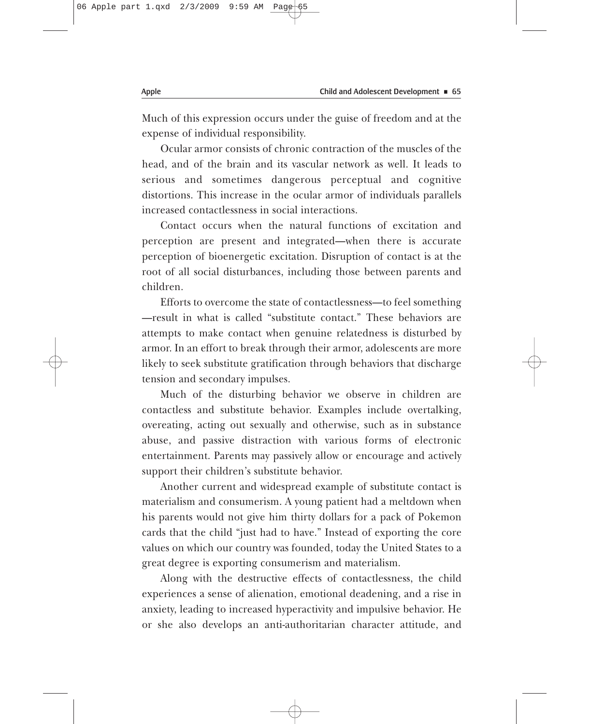Much of this expression occurs under the guise of freedom and at the expense of individual responsibility.

Ocular armor consists of chronic contraction of the muscles of the head, and of the brain and its vascular network as well. It leads to serious and sometimes dangerous perceptual and cognitive distortions. This increase in the ocular armor of individuals parallels increased contactlessness in social interactions.

Contact occurs when the natural functions of excitation and perception are present and integrated—when there is accurate perception of bioenergetic excitation. Disruption of contact is at the root of all social disturbances, including those between parents and children.

Efforts to overcome the state of contactlessness—to feel something —result in what is called "substitute contact." These behaviors are attempts to make contact when genuine relatedness is disturbed by armor. In an effort to break through their armor, adolescents are more likely to seek substitute gratification through behaviors that discharge tension and secondary impulses.

Much of the disturbing behavior we observe in children are contactless and substitute behavior. Examples include overtalking, overeating, acting out sexually and otherwise, such as in substance abuse, and passive distraction with various forms of electronic entertainment. Parents may passively allow or encourage and actively support their children's substitute behavior.

Another current and widespread example of substitute contact is materialism and consumerism. A young patient had a meltdown when his parents would not give him thirty dollars for a pack of Pokemon cards that the child "just had to have." Instead of exporting the core values on which our country was founded, today the United States to a great degree is exporting consumerism and materialism.

Along with the destructive effects of contactlessness, the child experiences a sense of alienation, emotional deadening, and a rise in anxiety, leading to increased hyperactivity and impulsive behavior. He or she also develops an anti-authoritarian character attitude, and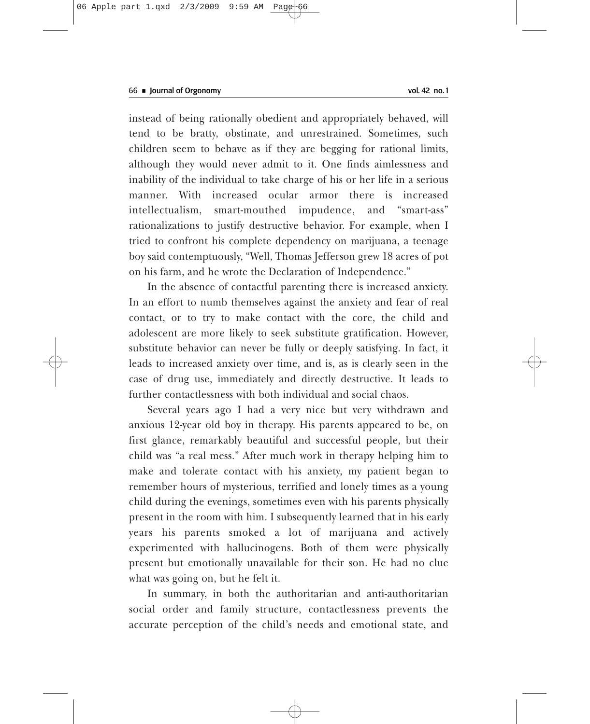instead of being rationally obedient and appropriately behaved, will tend to be bratty, obstinate, and unrestrained. Sometimes, such children seem to behave as if they are begging for rational limits, although they would never admit to it. One finds aimlessness and inability of the individual to take charge of his or her life in a serious manner. With increased ocular armor there is increased intellectualism, smart-mouthed impudence, and "smart-ass" rationalizations to justify destructive behavior. For example, when I tried to confront his complete dependency on marijuana, a teenage boy said contemptuously, "Well, Thomas Jefferson grew 18 acres of pot on his farm, and he wrote the Declaration of Independence."

In the absence of contactful parenting there is increased anxiety. In an effort to numb themselves against the anxiety and fear of real contact, or to try to make contact with the core, the child and adolescent are more likely to seek substitute gratification. However, substitute behavior can never be fully or deeply satisfying. In fact, it leads to increased anxiety over time, and is, as is clearly seen in the case of drug use, immediately and directly destructive. It leads to further contactlessness with both individual and social chaos.

Several years ago I had a very nice but very withdrawn and anxious 12-year old boy in therapy. His parents appeared to be, on first glance, remarkably beautiful and successful people, but their child was "a real mess." After much work in therapy helping him to make and tolerate contact with his anxiety, my patient began to remember hours of mysterious, terrified and lonely times as a young child during the evenings, sometimes even with his parents physically present in the room with him. I subsequently learned that in his early years his parents smoked a lot of marijuana and actively experimented with hallucinogens. Both of them were physically present but emotionally unavailable for their son. He had no clue what was going on, but he felt it.

In summary, in both the authoritarian and anti-authoritarian social order and family structure, contactlessness prevents the accurate perception of the child's needs and emotional state, and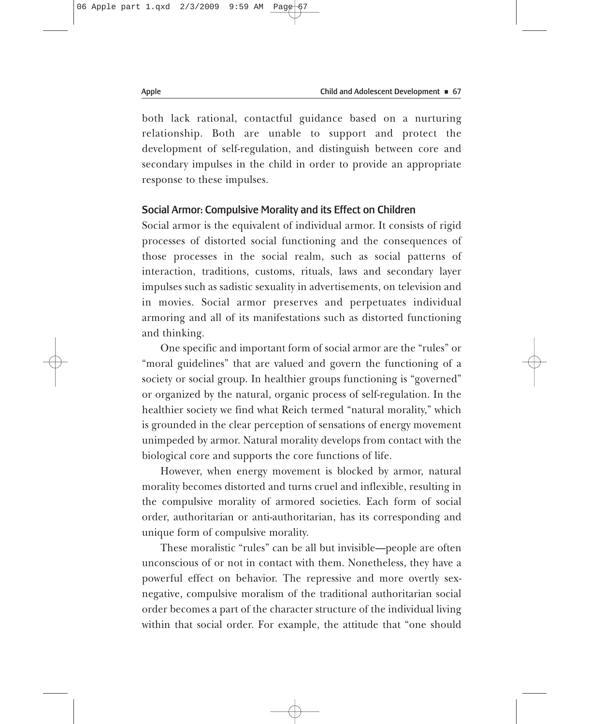both lack rational, contactful guidance based on a nurturing relationship. Both are unable to support and protect the development of self-regulation, and distinguish between core and secondary impulses in the child in order to provide an appropriate response to these impulses.

# Social Armor: Compulsive Morality and its Effect on Children

Social armor is the equivalent of individual armor. It consists of rigid processes of distorted social functioning and the consequences of those processes in the social realm, such as social patterns of interaction, traditions, customs, rituals, laws and secondary layer impulses such as sadistic sexuality in advertisements, on television and in movies. Social armor preserves and perpetuates individual armoring and all of its manifestations such as distorted functioning and thinking.

One specific and important form of social armor are the "rules" or "moral guidelines" that are valued and govern the functioning of a society or social group. In healthier groups functioning is "governed" or organized by the natural, organic process of self-regulation. In the healthier society we find what Reich termed "natural morality," which is grounded in the clear perception of sensations of energy movement unimpeded by armor. Natural morality develops from contact with the biological core and supports the core functions of life.

However, when energy movement is blocked by armor, natural morality becomes distorted and turns cruel and inflexible, resulting in the compulsive morality of armored societies. Each form of social order, authoritarian or anti-authoritarian, has its corresponding and unique form of compulsive morality.

These moralistic "rules" can be all but invisible—people are often unconscious of or not in contact with them. Nonetheless, they have a powerful effect on behavior. The repressive and more overtly sexnegative, compulsive moralism of the traditional authoritarian social order becomes a part of the character structure of the individual living within that social order. For example, the attitude that "one should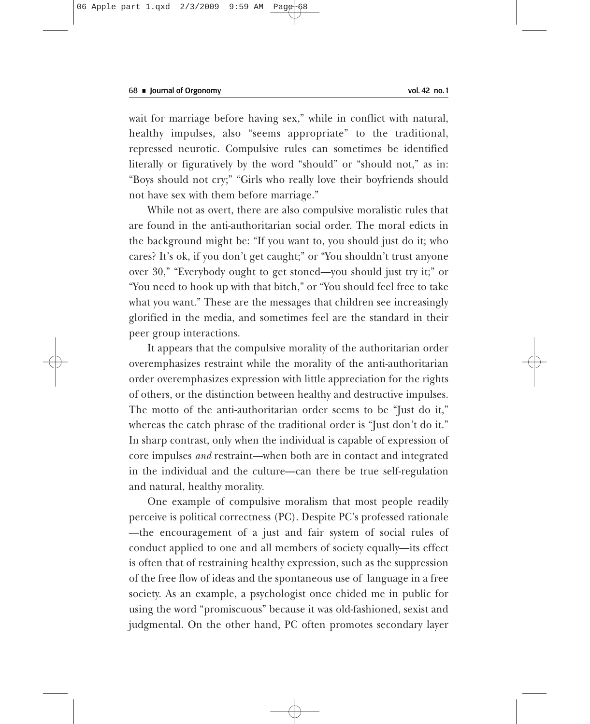wait for marriage before having sex," while in conflict with natural, healthy impulses, also "seems appropriate" to the traditional, repressed neurotic. Compulsive rules can sometimes be identified literally or figuratively by the word "should" or "should not," as in: "Boys should not cry;" "Girls who really love their boyfriends should not have sex with them before marriage."

While not as overt, there are also compulsive moralistic rules that are found in the anti-authoritarian social order. The moral edicts in the background might be: "If you want to, you should just do it; who cares? It's ok, if you don't get caught;" or "You shouldn't trust anyone over 30," "Everybody ought to get stoned—you should just try it;" or "You need to hook up with that bitch," or "You should feel free to take what you want." These are the messages that children see increasingly glorified in the media, and sometimes feel are the standard in their peer group interactions.

It appears that the compulsive morality of the authoritarian order overemphasizes restraint while the morality of the anti-authoritarian order overemphasizes expression with little appreciation for the rights of others, or the distinction between healthy and destructive impulses. The motto of the anti-authoritarian order seems to be "Just do it," whereas the catch phrase of the traditional order is "Just don't do it." In sharp contrast, only when the individual is capable of expression of core impulses *and* restraint—when both are in contact and integrated in the individual and the culture—can there be true self-regulation and natural, healthy morality.

One example of compulsive moralism that most people readily perceive is political correctness (PC). Despite PC's professed rationale —the encouragement of a just and fair system of social rules of conduct applied to one and all members of society equally—its effect is often that of restraining healthy expression, such as the suppression of the free flow of ideas and the spontaneous use of language in a free society. As an example, a psychologist once chided me in public for using the word "promiscuous" because it was old-fashioned, sexist and judgmental. On the other hand, PC often promotes secondary layer